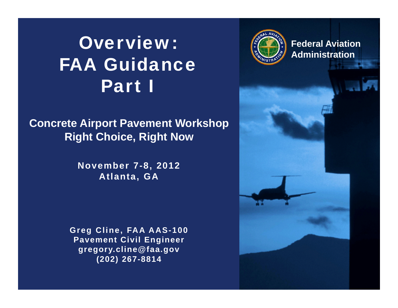## Overview:FAA GuidancePart I

#### **Concrete Airport Pavement Workshop Right Choice, Right Now**

**November 7-8, 2012 Atlanta, GA**

**Greg Cline, FAA AAS-100 Pavement Civil Engineer gregory.cline@faa.gov (202) 267-8814**



**Federal Aviation Administration**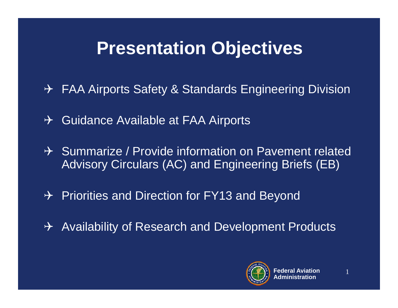## **Presentation Objectives**

- → FAA Airports Safety & Standards Engineering Division
- $\rightarrow$  Guidance Available at FAA Airports
- $\rightarrow$  Summarize / Provide information on Pavement related Advisory Circulars (AC) and Engineering Briefs (EB)
- $\rightarrow$  Priorities and Direction for FY13 and Beyond
- $\rightarrow$  Availability of Research and Development Products

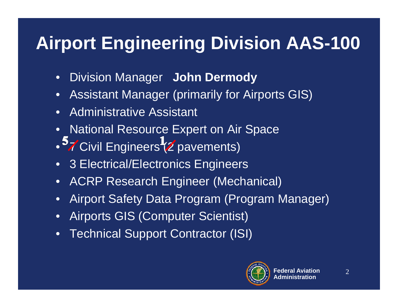## **Airport Engineering Division AAS-100**

- $\bullet$ Division Manager **John Dermody**
- $\bullet$ Assistant Manager (primarily for Airports GIS)
- •Administrative Assistant
- •National Resource Expert on Air Space
- <sup>9</sup>7 Civil Engineers (2 pavements)
- 3 Electrical/Electronics Engineers
- ACRP Research Engineer (Mechanical)
- •Airport Safety Data Program (Program Manager)
- $\bullet$ Airports GIS (Computer Scientist)
- •**Technical Support Contractor (ISI)**

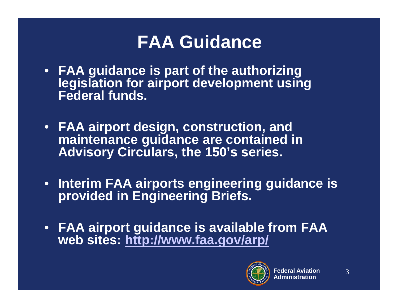## **FAA Guidance**

- **FAA guidance is part of the authorizing legislation for airport development using Federal funds.**
- **FAA airport design, construction, and maintenance guidance are contained in Advisory Circulars, the 150's series.**
- **Interim FAA airports engineering guidance is provided in Engineering Briefs.**
- **FAA airport guidance is available from FAA web sites: http://www.faa.gov/arp/**

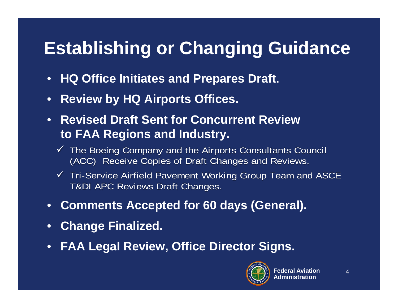## **Establishing or Changing Guidance**

- **HQ Office Initiates and Prepares Draft.**
- $\bullet$ **Review by HQ Airports Offices.**
- **Revised Draft Sent for Concurrent Review to FAA Regions and Industry.**
	- $\checkmark$  The Boeing Company and the Airports Consultants Council (ACC) Receive Copies of Draft Changes and Reviews.
	- $\checkmark$  Tri-Service Airfield Pavement Working Group Team and ASCE T&DI APC Reviews Draft Changes.
- $\bullet$ **Comments Accepted for 60 days (General).**
- $\bullet$ **Change Finalized.**
- •**FAA Legal Review, Office Director Signs.**

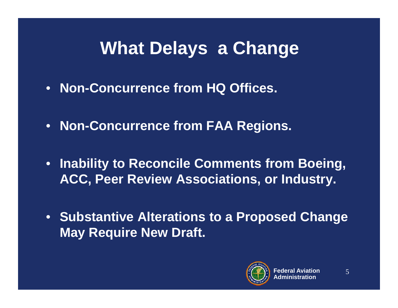## **What Delays a Change**

- **Non-Concurrence from HQ Offices.**
- **Non-Concurrence from FAA Regions.**
- **Inability to Reconcile Comments from Boeing, ACC, Peer Review Associations, or Industry.**
- **Substantive Alterations to a Proposed Change May Require New Draft.**

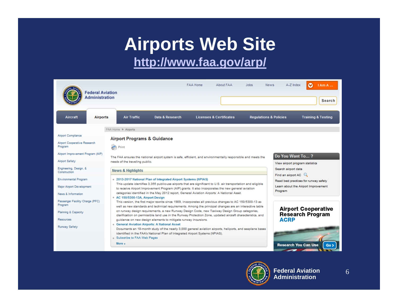#### **Airports Web Site http://www.faa.gov/arp/**

| <b>Administration</b>                                                                                                | <b>Federal Aviation</b>                                                           |                                                                                                                                                                                                                                                                                                                                                                                                                                                                                                     | <b>FAA Home</b><br>About FAA                                                                                              | <b>Jobs</b><br><b>News</b>        | A-Z Index                                          | ⊙<br><b>IAmA</b><br>Search    |
|----------------------------------------------------------------------------------------------------------------------|-----------------------------------------------------------------------------------|-----------------------------------------------------------------------------------------------------------------------------------------------------------------------------------------------------------------------------------------------------------------------------------------------------------------------------------------------------------------------------------------------------------------------------------------------------------------------------------------------------|---------------------------------------------------------------------------------------------------------------------------|-----------------------------------|----------------------------------------------------|-------------------------------|
| Aircraft                                                                                                             | <b>Air Traffic</b><br>Airports                                                    | Data & Research                                                                                                                                                                                                                                                                                                                                                                                                                                                                                     | <b>Licenses &amp; Certificates</b>                                                                                        | <b>Requlations &amp; Policies</b> |                                                    | <b>Training &amp; Testing</b> |
|                                                                                                                      | FAA Home » Airports                                                               |                                                                                                                                                                                                                                                                                                                                                                                                                                                                                                     |                                                                                                                           |                                   |                                                    |                               |
| Airport Compliance<br>Airport Cooperative Research<br>Program<br>Airport Improvement Program (AIP)<br>Airport Safety | <b>Airport Programs &amp; Guidance</b><br>Print<br>needs of the traveling public. |                                                                                                                                                                                                                                                                                                                                                                                                                                                                                                     | The FAA ensures the national airport system is safe, efficient, and environmentally responsible and meets the             |                                   | Do You Want To?<br>View airport program statistics |                               |
| Engineering, Design, &<br>Construction                                                                               | <b>News &amp; Highlights</b>                                                      |                                                                                                                                                                                                                                                                                                                                                                                                                                                                                                     |                                                                                                                           |                                   | Search airport data                                |                               |
| <b>Environmental Program</b><br>Major Airport Development<br>News & Information                                      |                                                                                   | . 2013-2017 National Plan of Integrated Airport Systems (NPIAS)<br>This update identifies 3,355 public-use airports that are significant to U.S. air transportation and eligible<br>to receive Airport Improvement Program (AIP) grants. It also incorporates the new general aviation<br>categories identified in the May 2012 report, General Aviation Airports: A National Asset.                                                                                                                | Find an airport AC $\mathbb Q$<br>Read best practices for runway safety<br>Learn about the Airport Improvement<br>Program |                                   |                                                    |                               |
| Passenger Facility Charge (PFC)<br>Program<br>Planning & Capacity<br>Resources                                       | AC 150/5300-13A, Airport Design                                                   | This version, the first major rewrite since 1989, incorporates all previous changes to AC 150/5300-13 as<br>well as new standards and technical requirements. Among the principal changes are an interactive table<br>on runway design requirements, a new Runway Design Code, new Taxiway Design Group categories,<br>clarification on permissible land use in the Runway Protection Zone, updated aircraft characteristics, and<br>guidance on new design elements to mitigate runway incursions. | <b>Airport Cooperative</b><br>Research Program<br><b>ACRP</b>                                                             |                                   |                                                    |                               |
| Runway Safety                                                                                                        | Subscribe to FAA Web Pages<br>More »                                              | <b>General Aviation Airports: A National Asset</b><br>identified in the FAA's National Plan of Integrated Airport Systems (NPIAS).                                                                                                                                                                                                                                                                                                                                                                  | Documents an 18-month study of the nearly 3,000 general aviation airports, heliports, and seaplane bases                  |                                   | <b>Research You Can Use</b>                        | Go >                          |

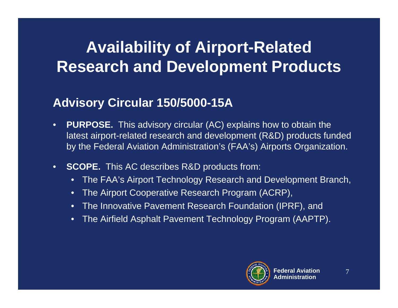### **Availability of Airport-Related Research and Development Products**

#### **Advisory Circular 150/5000-15A**

- $\bullet$  **PURPOSE.** This advisory circular (AC) explains how to obtain the latest airport-related research and development (R&D) products funded by the Federal Aviation Administration's (FAA's) Airports Organization.
- $\bullet$  **SCOPE.** This AC describes R&D products from:
	- The FAA's Airport Technology Research and Development Branch,
	- $\bullet$ The Airport Cooperative Research Program (ACRP),
	- The Innovative Pavement Research Foundation (IPRF), and
	- $\bullet$ The Airfield Asphalt Pavement Technology Program (AAPTP).

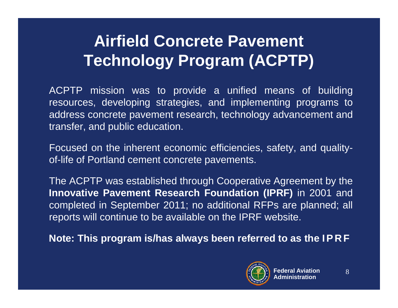#### **Airfield Concrete Pavement Technology Program (ACPTP)**

ACPTP mission was to provide <sup>a</sup> unified means of building resources, developing strategies, and implementing programs to address concrete pavement research, technology advancement and transfer, and public education.

Focused on the inherent economic efficiencies, safety, and qualityof-life of Portland cement concrete pavements.

The ACPTP was established through Cooperative Agreement by the **Innovative Pavement Research Foundation (IPRF)** in 2001 and completed in September 2011; no additional RFPs are planned; all reports will continue to be available on the IPRF website.

Note: This program is/has always been referred to as the IPRF

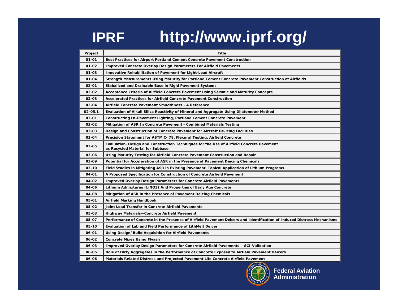### **IPRF http://www.iprf.org/**

| Project     | <b>Title</b>                                                                                                                 |
|-------------|------------------------------------------------------------------------------------------------------------------------------|
| $01 - 01$   | Best Practices for Airport Portland Cement Concrete Pavement Construction                                                    |
| $01 - 02$   | <b>Improved Concrete Overlay Design Parameters For Airfield Pavements</b>                                                    |
| 01-03       | <b>Innovative Rehabilitation of Pavement for Light-Load Aircraft</b>                                                         |
| $01 - 04$   | Strength Measurements Using Maturity for Portland Cement Concrete Pavement Construction at Airfields                         |
| $02 - 01$   | Stabalized and Drainable Base in Rigid Pavement Systems                                                                      |
| 02-02       | Acceptance Criteria of Airfield Concrete Pavement Using Seismic and Maturity Concepts                                        |
| 02-03       | Accelerated Practices for Airfield Concrete Pavement Construction                                                            |
| 02-04       | Airfield Concrete Pavement Smoothness - A Reference                                                                          |
| $02 - 05.1$ | Evaluation of Alkali Silica Reactivity of Mineral and Aggregate Using Dilatometer Method                                     |
| 03-01       | Constructing In-Pavement Lighting, Portland Cement Concrete Pavement                                                         |
| 03-02       | Mitigation of ASR In Concrete Pavement - Combined Materials Testing                                                          |
| 03-03       | Design and Construction of Concrete Pavement for Aircraft De-icing Facilities                                                |
| 03-04       | Precision Statement for ASTM C- 78, Flexural Testing, Airfield Concrete                                                      |
| 03-05       | Evaluation, Design and Construction Techniques for the Use of Airfield Concrete Pavement<br>as Recycled Material for Subbase |
| 03-06       | Using Maturity Testing for Airfield Concrete Pavement Construction and Repair                                                |
| 03-09       | Potential for Acceleration of ASR in the Presence of Pavement Deicing Chemicals                                              |
| 03-10       | Field Studies in Mitigating ASR in Existing Pavement, Topical Application of Lithium Programs                                |
| 04-01       | A Proposed Specification for Construction of Concrete Airfield Pavement                                                      |
| 04-02       | <b>Improved Overlay Design Parameters for Concrete Airfield Pavements</b>                                                    |
| 04-06       | Lithium Admixtures (LiNO3) And Properties of Early Age Concrete                                                              |
| 04-08       | Mitigation of ASR in the Presence of Pavement Deicing Chemicals                                                              |
| 05-01       | Airfield Marking Handbook                                                                                                    |
| 05-02       | Joint Load Transfer in Concrete Airfield Pavements                                                                           |
| 05-03       | Highway Materials-Concrete Airfield Pavement                                                                                 |
| 05-07       | Performance of Concrete in the Presence of Airfield Pavement Deicers and Identification of Induced Distress Mechanisms       |
| 05-10       | Evaluation of Lab and Field Performance of LithMelt Deicer                                                                   |
| 06-01       | Using Design/Build Acquisition for Airfield Pavements                                                                        |
| 06-02       | <b>Concrete Mixes Using Flyash</b>                                                                                           |
| 06-03       | Improved Overlay Design Parameters for Concrete Airfield Pavements – SCI Validation                                          |
| 06-05       | Role of Dirty Aggregates in the Performance of Concrete Exposed to Airfield Pavement Deicers                                 |
| 06-06       | Materials Related Distress and Projected Pavement Life Concrete Airfield Pavement                                            |

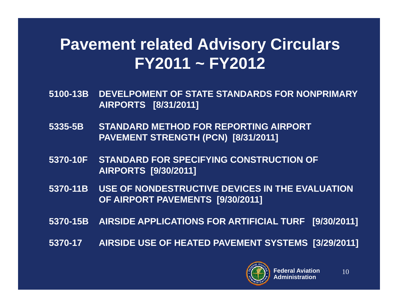#### **Pavement related Advisory Circulars FY2011 ~ FY2012**

- **5100-13B DEVELPOMENT OF STATE STANDARDS FOR NONPRIMARY AIRPORTS [8/31/2011]**
- **5335-5B STANDARD METHOD FOR REPORTING AIRPORT PAVEMENT STRENGTH (PCN) [8/31/2011]**
- **5370-10F STANDARD FOR SPECIFYING CONSTRUCTION OF AIRPORTS [9/30/2011]**
- **5370-11B USE OF NONDESTRUCTIVE DEVICES IN THE EVALUATION OF AIRPORT PAVEMENTS [9/30/2011]**
- **5370-15B AIRSIDE APPLICATIONS FOR ARTIFICIAL TURF [9/30/2011]**
- **5370-17 AIRSIDE USE OF HEATED PAVEMENT SYSTEMS [3/29/2011]**

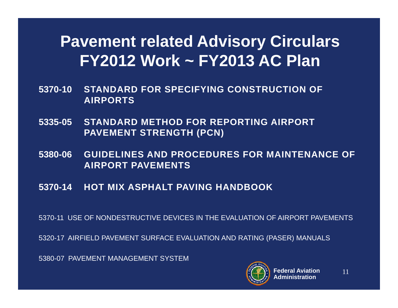#### **Pavement related Advisory Circulars FY2012 Work ~ FY2013 AC Plan**

- **5370-10 STANDARD FOR SPECIFYING CONSTRUCTION OF AIRPORTS**
- **5335-05 STANDARD METHOD FOR REPORTING AIRPORT PAVEMENT STRENGTH (PCN)**
- **5380-06 GUIDELINES AND PROCEDURES FOR MAINTENANCE OF AIRPORT PAVEMENTS**
- **5370-14 HOT MIX ASPHALT PAVING HANDBOOK**

5370-11 USE OF NONDESTRUCTIVE DEVICES IN THE EVALUATION OF AIRPORT PAVEMENTS

5320-17 AIRFIELD PAVEMENT SURFACE EVALUATION AND RATING (PASER) MANUALS

5380-07 PAVEMENT MANAGEMENT SYSTEM

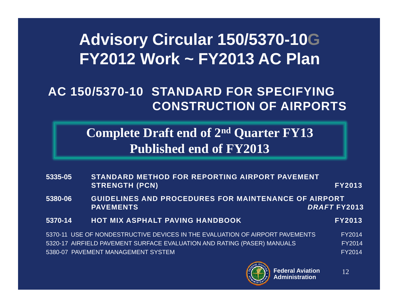#### **Advisory Circular 150/5370-10G FY2012 Work ~ FY2013 AC Plan**

#### **AC 150/5370-10 STANDARD FOR SPECIFYING CONSTRUCTION OF AIRPORTS**

#### **Complete Draft end of 2nd Quarter FY13 Published end of FY2013**

| 5335-05                                                                             | STANDARD METHOD FOR REPORTING AIRPORT PAVEMENT<br><b>STRENGTH (PCN)</b>      | <b>FY2013</b> |  |
|-------------------------------------------------------------------------------------|------------------------------------------------------------------------------|---------------|--|
| GUIDELINES AND PROCEDURES FOR MAINTENANCE OF AIRPORT<br>5380-06<br><b>PAVEMENTS</b> |                                                                              | DRAFT FY2013  |  |
| 5370-14                                                                             | <b>HOT MIX ASPHALT PAVING HANDBOOK</b>                                       | <b>FY2013</b> |  |
|                                                                                     | 5370-11 USE OF NONDESTRUCTIVE DEVICES IN THE EVALUATION OF AIRPORT PAVEMENTS | <b>FY2014</b> |  |
|                                                                                     | 5320-17 AIRFIELD PAVEMENT SURFACE EVALUATION AND RATING (PASER) MANUALS      | <b>FY2014</b> |  |
|                                                                                     | 5380-07 PAVEMENT MANAGEMENT SYSTEM                                           | <b>FY2014</b> |  |

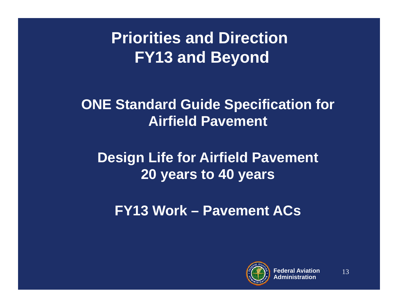### **Priorities and Direction FY13 and Beyond**

**ONE Standard Guide Specification for Airfield Pavement**

#### **Design Life for Airfield Pavement 20 years to 40 years**

**FY13 Work – Pavement ACs**

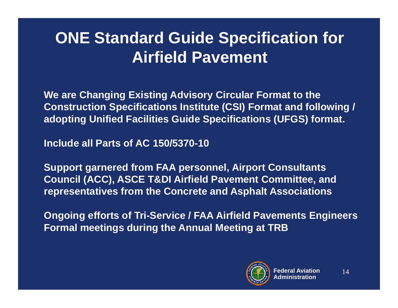### **ONE Standard Guide Specification for Airfield Pavement**

**We are Changing Existing Advisory Circular Format to the Construction Specifications Institute (CSI) Format and following / adopting Unified Facilities Guide Specifications (UFGS) format.**

**Include all Parts of AC 150/5370-10**

**Support garnered from FAA personnel, Airport Consultants Council (ACC), ASCE T&DI Airfield Pavement Committee, and representatives from the Concrete and Asphalt Associations**

**Ongoing efforts of Tri-Service / FAA Airfield Pavements Engineers Formal meetings during the Annual Meeting at TRB**

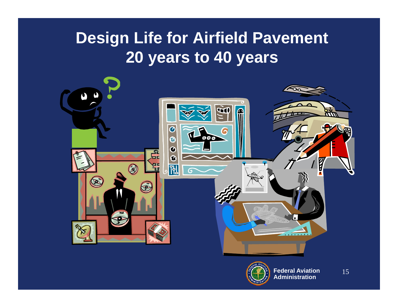### **Design Life for Airfield Pavement 20 years to 40 years**



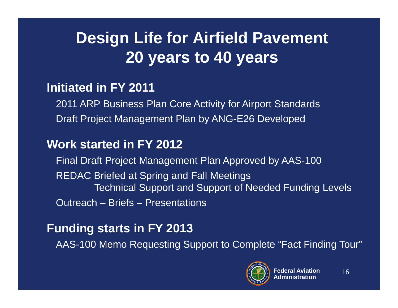### **Design Life for Airfield Pavement 20 years to 40 years**

#### **Initiated in FY 2011**

2011 ARP Business Plan Core Activity for Airport Standards Draft Project Management Plan by ANG-E26 Developed

#### **Work started in FY 2012**

Final Draft Project Management Plan Approved by AAS-100 REDAC Briefed at Spring and Fall Meetings Technical Support and Support of Needed Funding Levels Outreach – Briefs – Presentations

#### **Funding starts in FY 2013**

AAS-100 Memo Requesting Support to Complete "Fact Finding Tour"

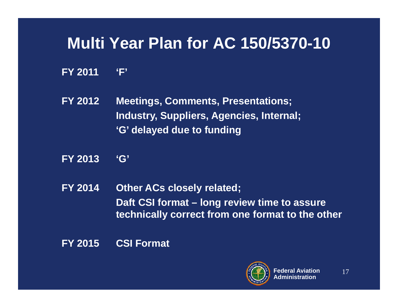#### **Multi Year Plan for AC 150/5370-10**

- **FY 2011 'F'**
- **FY 2012 Meetings, Comments, Presentations; Industry, Suppliers, Agencies, Internal; 'G' delayed due to funding**
- **FY 2013 'G'**
- **FY 2014 Other ACs closely related; Daft CSI format – long review time to assure technically correct from one format to the other**
- **FY 2015 CSI Format**

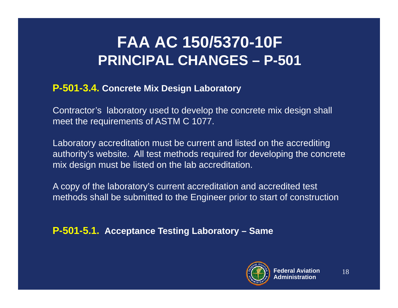#### **FAA AC 150/5370-10F PRINCIPAL CHANGES – P-501**

#### **P-501-3.4. Concrete Mix Design Laboratory**

Contractor's laboratory used to develop the concrete mix design shall meet the requirements of ASTM C 1077.

Laboratory accreditation must be current and listed on the accrediting authority's website. All test methods required for developing the concrete mix design must be listed on the lab accreditation.

A copy of the laboratory's current accreditation and accredited test methods shall be submitted to the Engineer prior to start of construction

**P-501-5.1. Acceptance Testing Laboratory – Same**

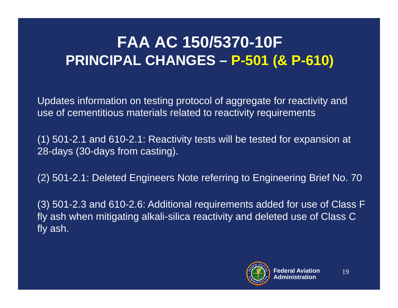#### **FAA AC 150/5370-10F PRINCIPAL CHANGES – P-501 (& P-610)**

Updates information on testing protocol of aggregate for reactivity and use of cementitious materials related to reactivity requirements

(1) 501-2.1 and 610-2.1: Reactivity tests will be tested for expansion at 28-days (30-days from casting).

(2) 501-2.1: Deleted Engineers Note referring to Engineering Brief No. 70

(3) 501-2.3 and 610-2.6: Additional requirements added for use of Class F fly ash when mitigating alkali-silica reactivity and deleted use of Class C fly ash.

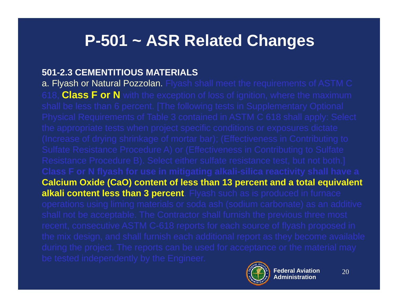#### **P-501 ~ ASR Related Changes**

#### **501-2.3 CEMENTITIOUS MATERIALS**

a. Flyash or Natural Pozzolan. Flyash shall meet the requirements of ASTM C 618, **Class F or N** with the exception of loss of ignition, where the maximum **Calcium Oxide (CaO) content of less than 13 percent and a total equivalent alkali content less than 3 percent**. Flyash such as is produced in furnace

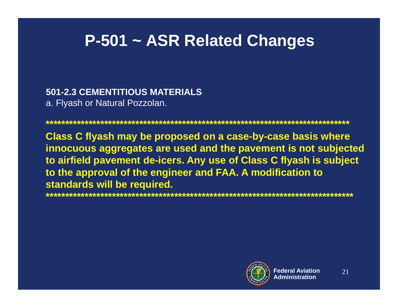#### **P-501 ~ ASR Related Changes**

**501-2.3 CEMENTITIOUS MATERIALS**  a. Flyash or Natural Pozzolan.

**Class C flyash may be proposed on a case-by-case basis where innocuous aggregates are used and the pavement is not subjected to airfield pavement de-icers. Any use of Class C flyash is subject to the approval of the engineer and FAA. A modification to standards will be required.**

**\*\*\*\*\*\*\*\*\*\*\*\*\*\*\*\*\*\*\*\*\*\*\*\*\*\*\*\*\*\*\*\*\*\*\*\*\*\*\*\*\*\*\*\*\*\*\*\*\*\*\*\*\*\*\*\*\*\*\*\*\*\*\*\*\*\*\*\*\*\*\*\*\*\*\*\*\*\*\***

**\*\*\*\*\*\*\*\*\*\*\*\*\*\*\*\*\*\*\*\*\*\*\*\*\*\*\*\*\*\*\*\*\*\*\*\*\*\*\*\*\*\*\*\*\*\*\*\*\*\*\*\*\*\*\*\*\*\*\*\*\*\*\*\*\*\*\*\*\*\*\*\*\*\*\*\*\*\***

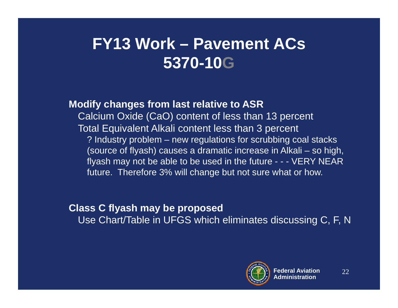### **FY13 Work – Pavement ACs 5370-10G**

#### **Modify changes from last relative to ASR**

Calcium Oxide (CaO) content of less than 13 percent Total Equivalent Alkali content less than 3 percent ? Industry problem – new regulations for scrubbing coal stacks (source of flyash) causes a dramatic increase in Alkali – so high, flyash may not be able to be used in the future - - - VERY NEAR future. Therefore 3% will change but not sure what or how.

#### **Class C flyash may be proposed**

Use Chart/Table in UFGS which eliminates discussing C, F, N

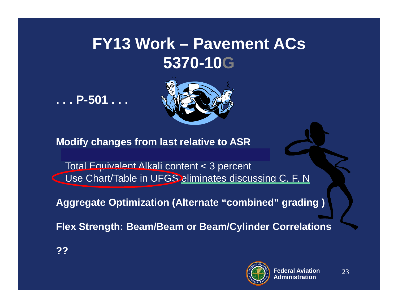#### **FY13 Work – Pavement ACs 5370-10G**

**. . . P-501 . . .**



**Modify changes from last relative to ASR**

Total Equivalent Alkali content < 3 percent Use Chart/Table in UFGS eliminates discussing C, F, N

**Aggregate Optimization (Alternate "combined" grading )** 

**Flex Strength: Beam/Beam or Beam/Cylinder Correlations**

**??**